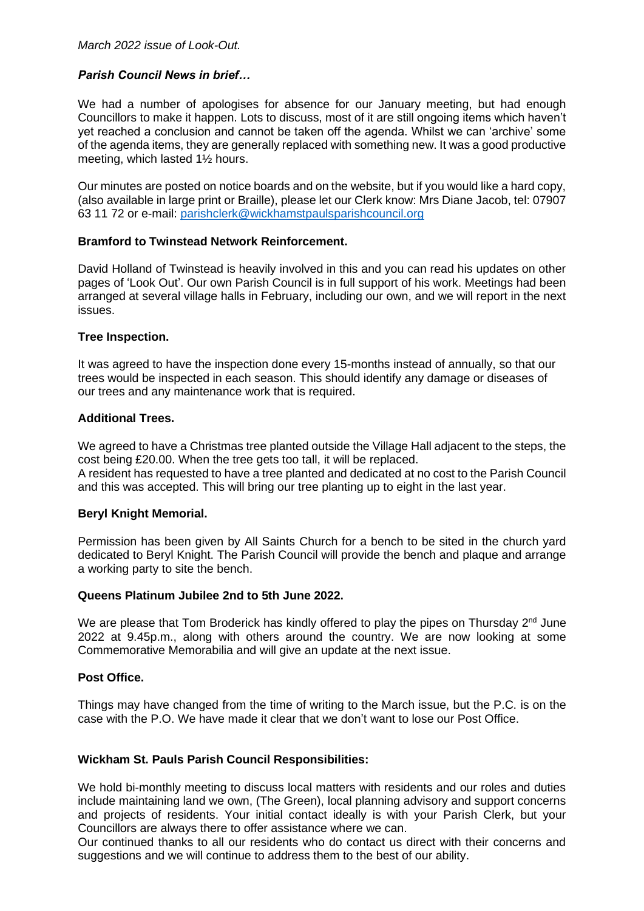## *Parish Council News in brief…*

We had a number of apologises for absence for our January meeting, but had enough Councillors to make it happen. Lots to discuss, most of it are still ongoing items which haven't yet reached a conclusion and cannot be taken off the agenda. Whilst we can 'archive' some of the agenda items, they are generally replaced with something new. It was a good productive meeting, which lasted 1½ hours.

Our minutes are posted on notice boards and on the website, but if you would like a hard copy, (also available in large print or Braille), please let our Clerk know: Mrs Diane Jacob, tel: 07907 63 11 72 or e-mail: [parishclerk@wickhamstpaulsparishcouncil.org](mailto:parishclerk@wickhamstpaulsparishcouncil.org)

## **Bramford to Twinstead Network Reinforcement.**

David Holland of Twinstead is heavily involved in this and you can read his updates on other pages of 'Look Out'. Our own Parish Council is in full support of his work. Meetings had been arranged at several village halls in February, including our own, and we will report in the next issues.

## **Tree Inspection.**

It was agreed to have the inspection done every 15-months instead of annually, so that our trees would be inspected in each season. This should identify any damage or diseases of our trees and any maintenance work that is required.

## **Additional Trees.**

We agreed to have a Christmas tree planted outside the Village Hall adjacent to the steps, the cost being £20.00. When the tree gets too tall, it will be replaced. A resident has requested to have a tree planted and dedicated at no cost to the Parish Council and this was accepted. This will bring our tree planting up to eight in the last year.

## **Beryl Knight Memorial.**

Permission has been given by All Saints Church for a bench to be sited in the church yard dedicated to Beryl Knight. The Parish Council will provide the bench and plaque and arrange a working party to site the bench.

## **Queens Platinum Jubilee 2nd to 5th June 2022.**

We are please that Tom Broderick has kindly offered to play the pipes on Thursday 2<sup>nd</sup> June 2022 at 9.45p.m., along with others around the country. We are now looking at some Commemorative Memorabilia and will give an update at the next issue.

## **Post Office.**

Things may have changed from the time of writing to the March issue, but the P.C. is on the case with the P.O. We have made it clear that we don't want to lose our Post Office.

## **Wickham St. Pauls Parish Council Responsibilities:**

We hold bi-monthly meeting to discuss local matters with residents and our roles and duties include maintaining land we own, (The Green), local planning advisory and support concerns and projects of residents. Your initial contact ideally is with your Parish Clerk, but your Councillors are always there to offer assistance where we can.

Our continued thanks to all our residents who do contact us direct with their concerns and suggestions and we will continue to address them to the best of our ability.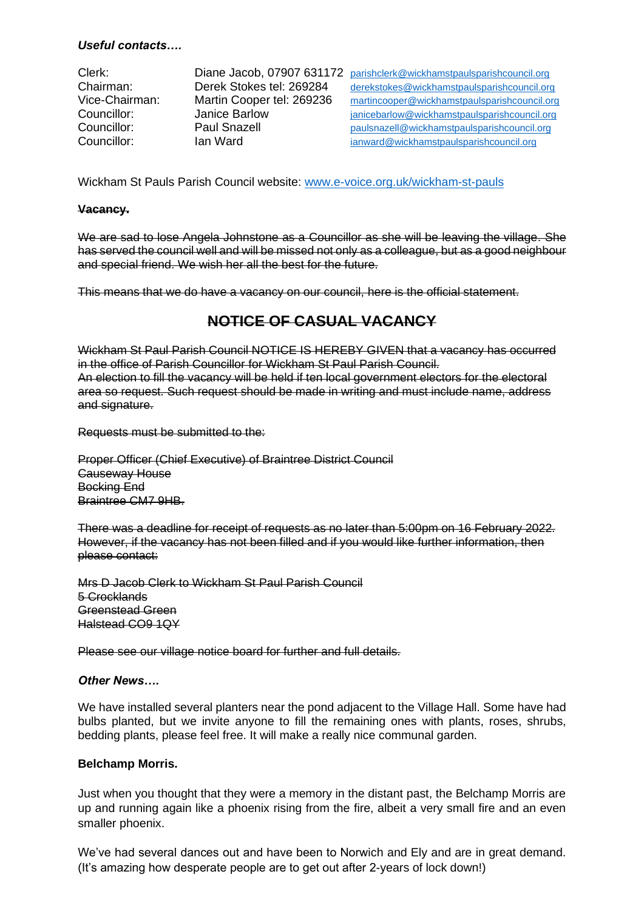## *Useful contacts….*

Clerk: Diane Jacob, 07907 631172 [parishclerk@wickhamstpaulsparishcouncil.org](mailto:parishclerk@wickhamstpaulsparishcouncil.org) Chairman: Derek Stokes tel: 269284 [derekstokes@wickhamstpaulsparishcouncil.org](mailto:derekstokes@wickhamstpaulsparishcouncil.org) Vice-Chairman: Martin Cooper tel: 269236 [martincooper@wickhamstpaulsparishcouncil.org](mailto:martincooper@wickhamstpaulsparishcouncil.org) Councillor: Janice Barlow [janicebarlow@wickhamstpaulsparishcouncil.org](mailto:janicebarlow@wickhamstpaulsparishcouncil.org) Councillor: Paul Snazell [paulsnazell@wickhamstpaulsparishcouncil.org](mailto:paulsnazell@wickhamstpaulsparishcouncil.org)<br>
Councillor: Ian Ward<br>
ianward@wickhamstpaulsparishcouncil.org lan Ward **ightarrow [ianward@wickhamstpaulsparishcouncil.org](mailto:ianward@wickhamstpaulsparishcouncil.org)** 

Wickham St Pauls Parish Council website: [www.e-voice.org.uk/wickham-st-pauls](http://www.e-voice.org.uk/wickham-st-pauls)

#### **Vacancy.**

We are sad to lose Angela Johnstone as a Councillor as she will be leaving the village. She has served the council well and will be missed not only as a colleague, but as a good neighbour and special friend. We wish her all the best for the future.

This means that we do have a vacancy on our council, here is the official statement.

# **NOTICE OF CASUAL VACANCY**

Wickham St Paul Parish Council NOTICE IS HEREBY GIVEN that a vacancy has occurred in the office of Parish Councillor for Wickham St Paul Parish Council. An election to fill the vacancy will be held if ten local government electors for the electoral area so request. Such request should be made in writing and must include name, address and signature.

Requests must be submitted to the:

Proper Officer (Chief Executive) of Braintree District Council Causeway House Bocking End Braintree CM7 9HB.

There was a deadline for receipt of requests as no later than 5:00pm on 16 February 2022. However, if the vacancy has not been filled and if you would like further information, then please contact:

Mrs D Jacob Clerk to Wickham St Paul Parish Council 5 Crocklands Greenstead Green Halstead CO9 1QY

Please see our village notice board for further and full details.

#### *Other News….*

We have installed several planters near the pond adjacent to the Village Hall. Some have had bulbs planted, but we invite anyone to fill the remaining ones with plants, roses, shrubs, bedding plants, please feel free. It will make a really nice communal garden.

## **Belchamp Morris.**

Just when you thought that they were a memory in the distant past, the Belchamp Morris are up and running again like a phoenix rising from the fire, albeit a very small fire and an even smaller phoenix.

We've had several dances out and have been to Norwich and Ely and are in great demand. (It's amazing how desperate people are to get out after 2-years of lock down!)